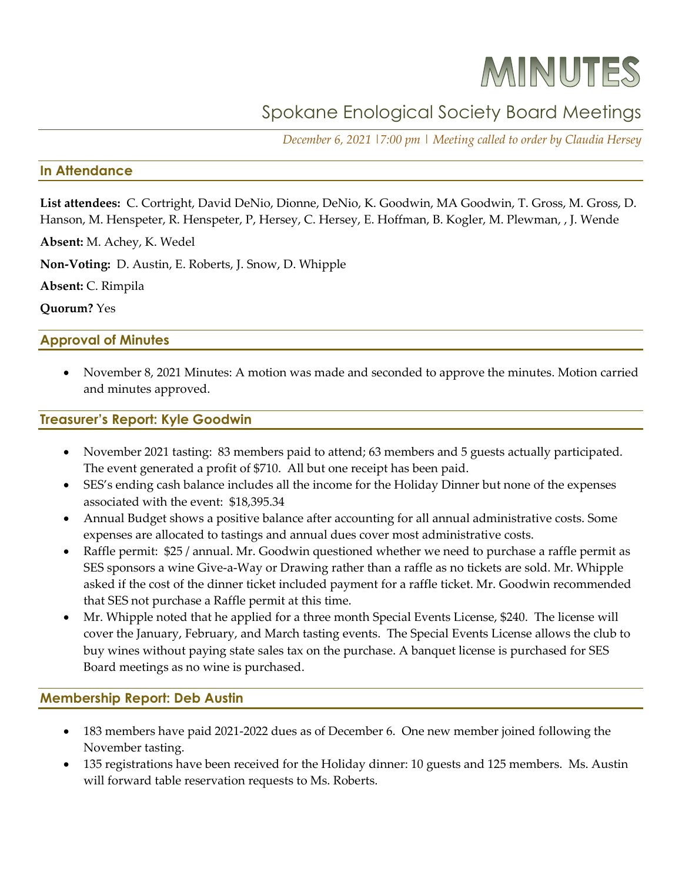# MINUTES

# Spokane Enological Society Board Meetings

*December 6, 2021 |7:00 pm | Meeting called to order by Claudia Hersey*

#### **In Attendance**

**List attendees:** C. Cortright, David DeNio, Dionne, DeNio, K. Goodwin, MA Goodwin, T. Gross, M. Gross, D. Hanson, M. Henspeter, R. Henspeter, P, Hersey, C. Hersey, E. Hoffman, B. Kogler, M. Plewman, , J. Wende

**Absent:** M. Achey, K. Wedel

**Non-Voting:** D. Austin, E. Roberts, J. Snow, D. Whipple

**Absent:** C. Rimpila

**Quorum?** Yes

#### **Approval of Minutes**

• November 8, 2021 Minutes: A motion was made and seconded to approve the minutes. Motion carried and minutes approved.

#### **Treasurer's Report: Kyle Goodwin**

- November 2021 tasting: 83 members paid to attend; 63 members and 5 guests actually participated. The event generated a profit of \$710. All but one receipt has been paid.
- SES's ending cash balance includes all the income for the Holiday Dinner but none of the expenses associated with the event: \$18,395.34
- Annual Budget shows a positive balance after accounting for all annual administrative costs. Some expenses are allocated to tastings and annual dues cover most administrative costs.
- Raffle permit: \$25 / annual. Mr. Goodwin questioned whether we need to purchase a raffle permit as SES sponsors a wine Give-a-Way or Drawing rather than a raffle as no tickets are sold. Mr. Whipple asked if the cost of the dinner ticket included payment for a raffle ticket. Mr. Goodwin recommended that SES not purchase a Raffle permit at this time.
- Mr. Whipple noted that he applied for a three month Special Events License, \$240. The license will cover the January, February, and March tasting events. The Special Events License allows the club to buy wines without paying state sales tax on the purchase. A banquet license is purchased for SES Board meetings as no wine is purchased.

#### **Membership Report: Deb Austin**

- 183 members have paid 2021-2022 dues as of December 6. One new member joined following the November tasting.
- 135 registrations have been received for the Holiday dinner: 10 guests and 125 members. Ms. Austin will forward table reservation requests to Ms. Roberts.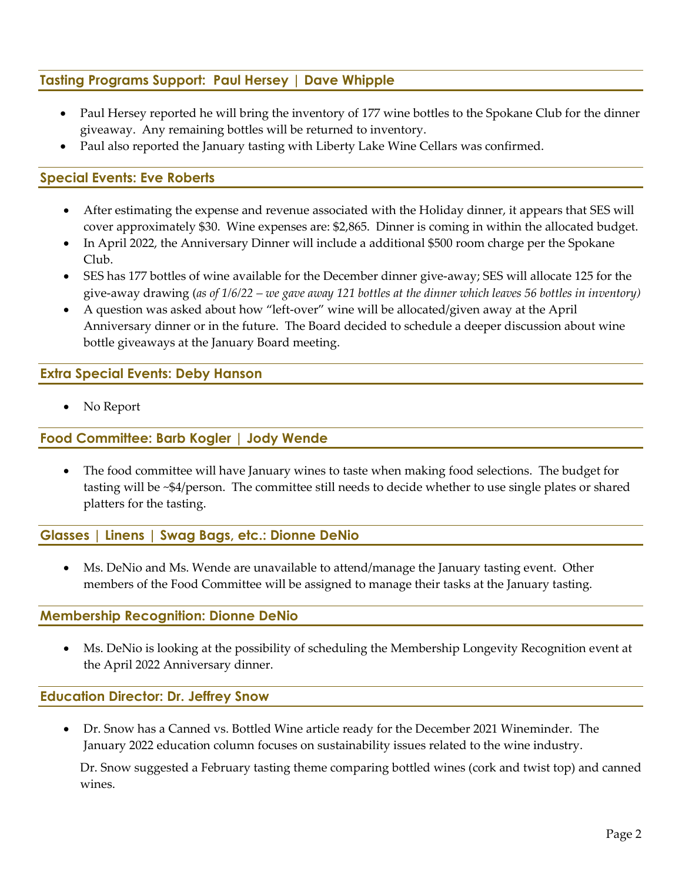# **Tasting Programs Support: Paul Hersey | Dave Whipple**

- Paul Hersey reported he will bring the inventory of 177 wine bottles to the Spokane Club for the dinner giveaway. Any remaining bottles will be returned to inventory.
- Paul also reported the January tasting with Liberty Lake Wine Cellars was confirmed.

### **Special Events: Eve Roberts**

- After estimating the expense and revenue associated with the Holiday dinner, it appears that SES will cover approximately \$30. Wine expenses are: \$2,865. Dinner is coming in within the allocated budget.
- In April 2022, the Anniversary Dinner will include a additional \$500 room charge per the Spokane Club.
- SES has 177 bottles of wine available for the December dinner give-away; SES will allocate 125 for the give-away drawing (*as of 1/6/22 – we gave away 121 bottles at the dinner which leaves 56 bottles in inventory)*
- A question was asked about how "left-over" wine will be allocated/given away at the April Anniversary dinner or in the future. The Board decided to schedule a deeper discussion about wine bottle giveaways at the January Board meeting.

#### **Extra Special Events: Deby Hanson**

No Report

### **Food Committee: Barb Kogler | Jody Wende**

• The food committee will have January wines to taste when making food selections. The budget for tasting will be ~\$4/person. The committee still needs to decide whether to use single plates or shared platters for the tasting.

#### **Glasses | Linens | Swag Bags, etc.: Dionne DeNio**

• Ms. DeNio and Ms. Wende are unavailable to attend/manage the January tasting event. Other members of the Food Committee will be assigned to manage their tasks at the January tasting.

#### **Membership Recognition: Dionne DeNio**

• Ms. DeNio is looking at the possibility of scheduling the Membership Longevity Recognition event at the April 2022 Anniversary dinner.

#### **Education Director: Dr. Jeffrey Snow**

• Dr. Snow has a Canned vs. Bottled Wine article ready for the December 2021 Wineminder. The January 2022 education column focuses on sustainability issues related to the wine industry.

Dr. Snow suggested a February tasting theme comparing bottled wines (cork and twist top) and canned wines.